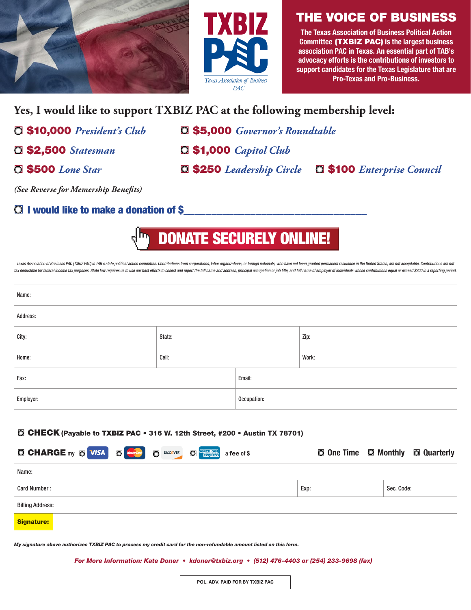



# THE VOICE OF BUSINESS

The Texas Association of Business Political Action Committee (TXBIZ PAC) is the largest business association PAC in Texas. An essential part of TAB's advocacy efforts is the contributions of investors to support candidates for the Texas Legislature that are Pro-Texas and Pro-Business.

# **Yes, I would like to support TXBIZ PAC at the following membership level:**

- 
- 
- ¨ \$10,000 *President's Club* ¨ \$5,000 *Governor's Roundtable*
- ¨ \$2,500 *Statesman* ¨ \$1,000 *Capitol Club*
- ¨ \$500 *Lone Star* ¨ \$250 *Leadership Circle* ¨ \$100 *Enterprise Council*

*(See Reverse for Memership Benefits)*

# $\bigcirc$  I would like to make a donation of \$

[DONATE SECURELY ONLINE!](https://www.txbiz.org/txbiz-pac)

Texas Association of Business PAC (TXBIZ PAC) is TAB's state political action committee. Contributions from corporations, labor organizations, or foreign nationals, who have not been granted permanent residence in the Unit tax deductible for federal income tax purposes. State law requires us to use our best efforts to collect and report the full name and address, principal occupation or job title, and full name of employer of individuals who

| Name:     |        |             |       |  |  |  |
|-----------|--------|-------------|-------|--|--|--|
| Address:  |        |             |       |  |  |  |
| City:     | State: |             | Zip:  |  |  |  |
| Home:     | Cell:  |             | Work: |  |  |  |
| Fax:      |        | Email:      |       |  |  |  |
| Employer: |        | Occupation: |       |  |  |  |

#### **O CHECK** (Payable to TXBIZ PAC • 316 W. 12th Street, #200 • Austin TX 78701)

| <b>O CHARGE</b> my <b>O</b> VISA <b>O CHARGE</b> my <b>O</b> VISA <b>O CHARGE</b> my <b>O</b> VISA <b>O</b> |  |      | <b>Q One Time Q Monthly Q Quarterly</b> |
|-------------------------------------------------------------------------------------------------------------|--|------|-----------------------------------------|
| Name:                                                                                                       |  |      |                                         |
| Card Number:                                                                                                |  | Exp: | Sec. Code:                              |
| <b>Billing Address:</b>                                                                                     |  |      |                                         |
| <b>Signature:</b>                                                                                           |  |      |                                         |

*My signature above authorizes TXBIZ PAC to process my credit card for the non-refundable amount listed on this form.*

*For More Information: Kate Doner • kdoner@txbiz.org • (512) 476-4403 or (254) 233-9698 (fax)*

**POL. ADV. PAID FOR BY TXBIZ PAC**